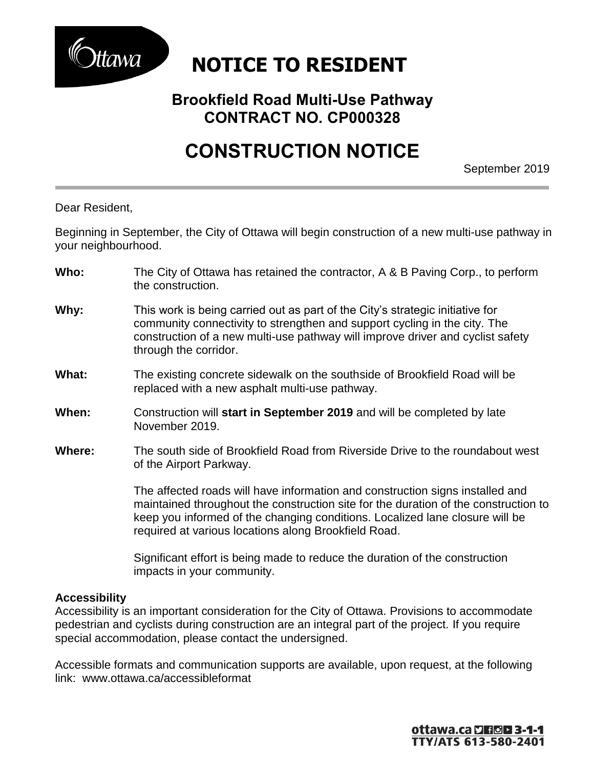

## **NOTICE TO RESIDENT**

### **Brookfield Road Multi-Use Pathway CONTRACT NO. CP000328**

# **CONSTRUCTION NOTICE**

September 2019

Dear Resident,

Beginning in September, the City of Ottawa will begin construction of a new multi-use pathway in your neighbourhood.

- **Who:** The City of Ottawa has retained the contractor, A & B Paving Corp., to perform the construction.
- **Why:** This work is being carried out as part of the City's strategic initiative for community connectivity to strengthen and support cycling in the city. The construction of a new multi-use pathway will improve driver and cyclist safety through the corridor.
- **What:** The existing concrete sidewalk on the southside of Brookfield Road will be replaced with a new asphalt multi-use pathway.
- **When:** Construction will **start in September 2019** and will be completed by late November 2019.
- **Where:** The south side of Brookfield Road from Riverside Drive to the roundabout west of the Airport Parkway.

The affected roads will have information and construction signs installed and maintained throughout the construction site for the duration of the construction to keep you informed of the changing conditions. Localized lane closure will be required at various locations along Brookfield Road.

Significant effort is being made to reduce the duration of the construction impacts in your community.

#### **Accessibility**

Accessibility is an important consideration for the City of Ottawa. Provisions to accommodate pedestrian and cyclists during construction are an integral part of the project. If you require special accommodation, please contact the undersigned.

Accessible formats and communication supports are available, upon request, at the following link: [www.ottawa.ca/accessibleformat](http://www.ottawa.ca/accessibleformat)